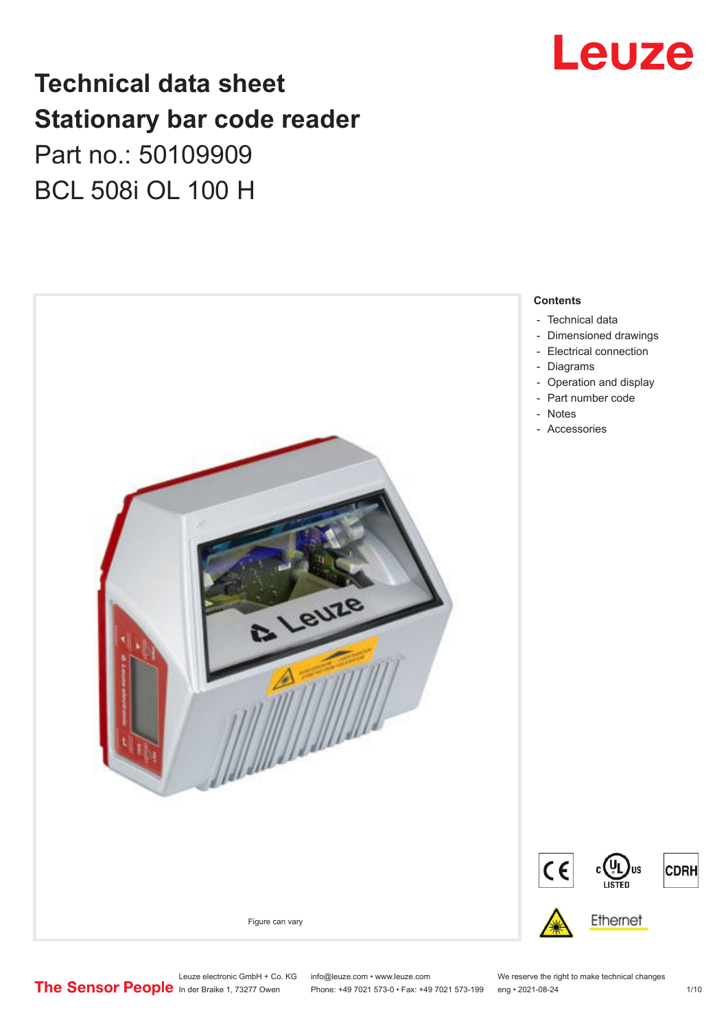

# **Technical data sheet Stationary bar code reader** Part no.: 50109909 BCL 508i OL 100 H



Phone: +49 7021 573-0 • Fax: +49 7021 573-199 eng • 2021-08-24 1 1 10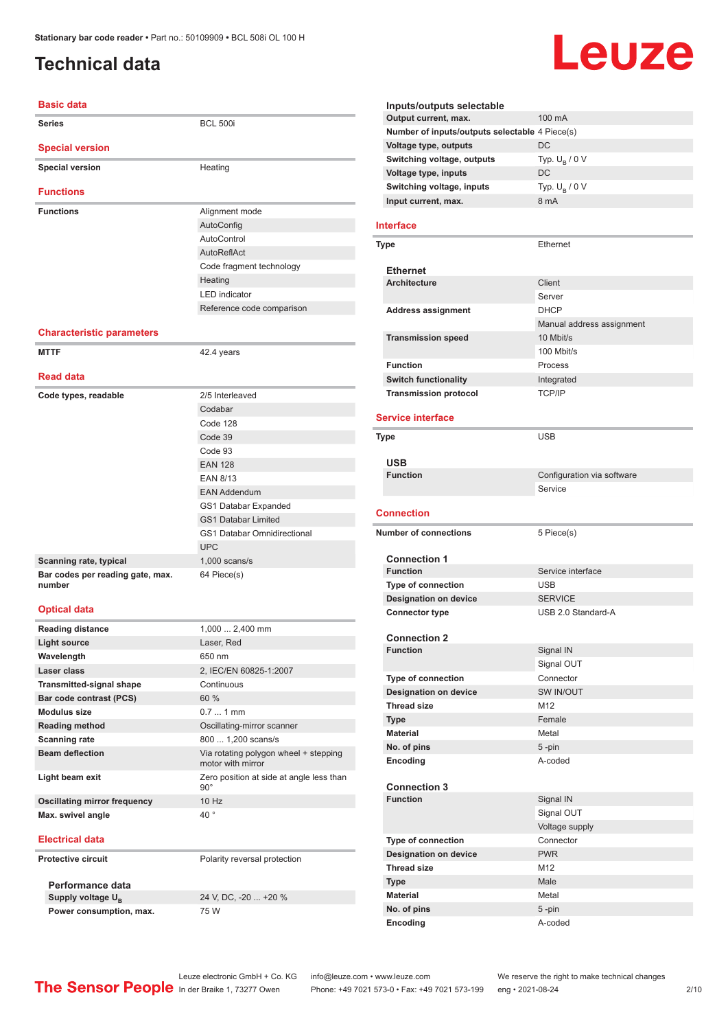# <span id="page-1-0"></span>**Technical data**

### **Basic data**

| <b>Dasic dala</b>                          |                                                            |
|--------------------------------------------|------------------------------------------------------------|
| <b>Series</b>                              | <b>BCL 500i</b>                                            |
| <b>Special version</b>                     |                                                            |
| <b>Special version</b>                     | Heating                                                    |
|                                            |                                                            |
| <b>Functions</b>                           |                                                            |
| <b>Functions</b>                           | Alignment mode                                             |
|                                            | AutoConfig                                                 |
|                                            | AutoControl                                                |
|                                            | AutoReflAct                                                |
|                                            | Code fragment technology                                   |
|                                            | Heating                                                    |
|                                            | <b>LED</b> indicator                                       |
|                                            | Reference code comparison                                  |
| <b>Characteristic parameters</b>           |                                                            |
| <b>MTTF</b>                                | 42.4 years                                                 |
| <b>Read data</b>                           |                                                            |
| Code types, readable                       | 2/5 Interleaved                                            |
|                                            | Codabar                                                    |
|                                            | Code 128                                                   |
|                                            | Code 39                                                    |
|                                            | Code 93                                                    |
|                                            | <b>EAN 128</b>                                             |
|                                            | <b>EAN 8/13</b>                                            |
|                                            | <b>EAN Addendum</b>                                        |
|                                            | GS1 Databar Expanded                                       |
|                                            | <b>GS1 Databar Limited</b>                                 |
|                                            | <b>GS1 Databar Omnidirectional</b>                         |
|                                            | <b>UPC</b>                                                 |
| Scanning rate, typical                     | $1,000$ scans/s                                            |
| Bar codes per reading gate, max.<br>number | 64 Piece(s)                                                |
| <b>Optical data</b>                        |                                                            |
| <b>Reading distance</b>                    | 1,000  2,400 mm                                            |
| <b>Light source</b>                        | Laser, Red                                                 |
| Wavelength                                 | 650 nm                                                     |
| Laser class                                | 2, IEC/EN 60825-1:2007                                     |
| <b>Transmitted-signal shape</b>            | Continuous                                                 |
| Bar code contrast (PCS)                    | 60 %                                                       |
| <b>Modulus size</b>                        | $0.71$ mm                                                  |
| <b>Reading method</b>                      | Oscillating-mirror scanner                                 |
| <b>Scanning rate</b>                       | 800  1,200 scans/s                                         |
| <b>Beam deflection</b>                     | Via rotating polygon wheel + stepping<br>motor with mirror |
| Light beam exit                            | Zero position at side at angle less than<br>$90^{\circ}$   |
| <b>Oscillating mirror frequency</b>        | 10 Hz                                                      |

**Max. swivel angle** 40 °

### **Electrical data**

**Protective circuit** Polarity reversal protection

**Performance data** Supply voltage  $U_B$ **Power consumption, max.** 75 W

24 V, DC, -20 ... +20 %

| Inputs/outputs selectable                      |                  |  |
|------------------------------------------------|------------------|--|
| Output current, max.                           | $100 \text{ mA}$ |  |
| Number of inputs/outputs selectable 4 Piece(s) |                  |  |
| Voltage type, outputs                          | DC               |  |
| Switching voltage, outputs                     | Typ. $U_p / 0 V$ |  |
| Voltage type, inputs                           | DC.              |  |
| Switching voltage, inputs                      | Typ. $U_p / 0 V$ |  |
| Input current, max.                            | 8 mA             |  |

Leuze

### **Interface**

| <b>Type</b>                  | Ethernet                  |
|------------------------------|---------------------------|
| <b>Ethernet</b>              |                           |
| <b>Architecture</b>          | Client                    |
|                              | Server                    |
| <b>Address assignment</b>    | <b>DHCP</b>               |
|                              | Manual address assignment |
| <b>Transmission speed</b>    | 10 Mbit/s                 |
|                              | 100 Mbit/s                |
| <b>Function</b>              | <b>Process</b>            |
| <b>Switch functionality</b>  | Integrated                |
| <b>Transmission protocol</b> | <b>TCP/IP</b>             |

#### **Service interface**

| <b>Type</b>                            | <b>USB</b>                 |
|----------------------------------------|----------------------------|
| <b>USB</b>                             |                            |
| <b>Function</b>                        | Configuration via software |
|                                        | Service                    |
|                                        |                            |
| <b>Connection</b>                      |                            |
| <b>Number of connections</b>           | 5 Piece(s)                 |
|                                        |                            |
| <b>Connection 1</b>                    |                            |
| <b>Function</b>                        | Service interface          |
| <b>Type of connection</b>              | <b>USB</b>                 |
| <b>Designation on device</b>           | <b>SERVICE</b>             |
| <b>Connector type</b>                  | USB 2.0 Standard-A         |
|                                        |                            |
| <b>Connection 2</b><br><b>Function</b> | Signal IN                  |
|                                        | Signal OUT                 |
| <b>Type of connection</b>              | Connector                  |
| <b>Designation on device</b>           | SW IN/OUT                  |
| <b>Thread size</b>                     | M <sub>12</sub>            |
|                                        | Female                     |
| <b>Type</b><br><b>Material</b>         | Metal                      |
|                                        |                            |
| No. of pins                            | 5-pin                      |
| Encoding                               | A-coded                    |
| <b>Connection 3</b>                    |                            |
| <b>Function</b>                        | Signal IN                  |
|                                        | Signal OUT                 |
|                                        | Voltage supply             |
| Type of connection                     | Connector                  |
| <b>Designation on device</b>           | <b>PWR</b>                 |
| <b>Thread size</b>                     | M <sub>12</sub>            |
| <b>Type</b>                            | Male                       |
| <b>Material</b>                        | Metal                      |
| No. of pins                            | 5-pin                      |
| Encoding                               | A-coded                    |
|                                        |                            |

Leuze electronic GmbH + Co. KG info@leuze.com • www.leuze.com We reserve the right to make technical changes<br> **The Sensor People** in der Braike 1, 73277 Owen Phone: +49 7021 573-0 • Fax: +49 7021 573-199 eng • 2021-08-24 Phone: +49 7021 573-0 • Fax: +49 7021 573-199 eng • 2021-08-24 2/10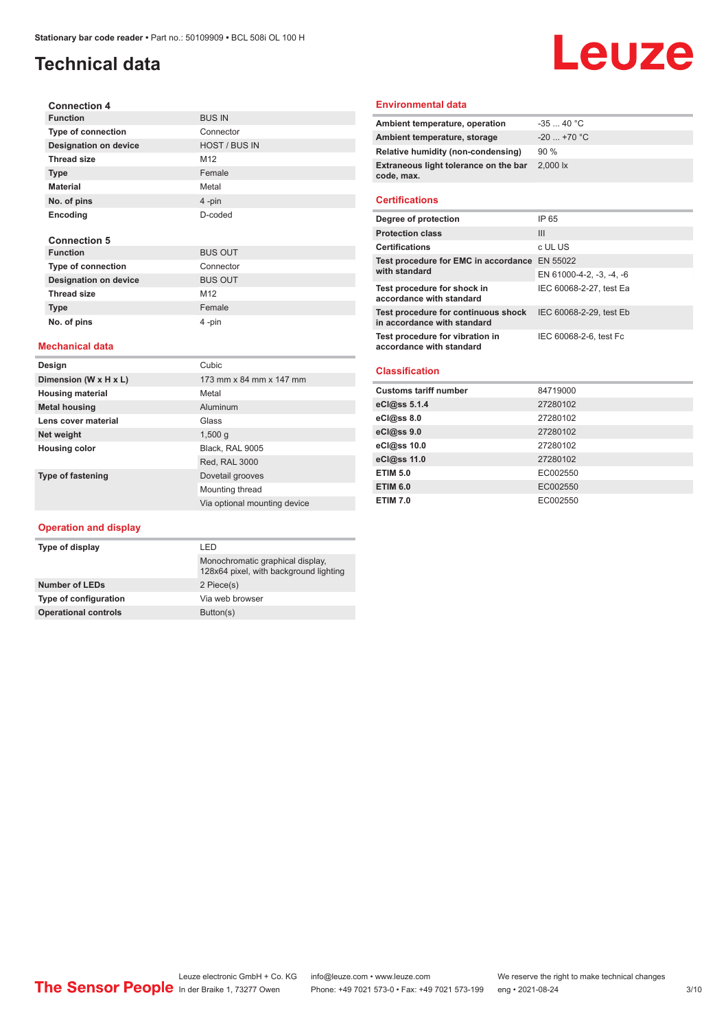**Function** BUS IN **Type of connection** Connector **Designation on device** HOST / BUS IN

**Thread size** M12 **Type** Female **Material** Metal **No. of pins** 4 -pin **Encoding** D-coded

**Function** BUS OUT **Type of connection** Connector **Designation on device** BUS OUT Thread size M12 **Type Female No. of pins** 4 -pin

# **Technical data**

**Connection 4**

# Leuze **Environmental data**

| Ambient temperature, operation                      | $-3540 °C$   |
|-----------------------------------------------------|--------------|
| Ambient temperature, storage                        | $-20$ +70 °C |
| Relative humidity (non-condensing)                  | $90\%$       |
| Extraneous light tolerance on the bar<br>code, max. | $2,000$ lx   |

#### **Certifications**

| Degree of protection                                               | IP 65                    |
|--------------------------------------------------------------------|--------------------------|
| <b>Protection class</b>                                            | Ш                        |
| <b>Certifications</b>                                              | c UL US                  |
| Test procedure for EMC in accordance EN 55022<br>with standard     |                          |
|                                                                    | EN 61000-4-2, -3, -4, -6 |
| Test procedure for shock in<br>accordance with standard            | IEC 60068-2-27, test Ea  |
| Test procedure for continuous shock<br>in accordance with standard | IEC 60068-2-29, test Eb  |
| Test procedure for vibration in<br>accordance with standard        | IEC 60068-2-6, test Fc   |

#### **Classification**

| <b>Customs tariff number</b> | 84719000 |
|------------------------------|----------|
| eCl@ss 5.1.4                 | 27280102 |
| eCl@ss 8.0                   | 27280102 |
| eCl@ss 9.0                   | 27280102 |
| eCl@ss 10.0                  | 27280102 |
| eCl@ss 11.0                  | 27280102 |
| <b>ETIM 5.0</b>              | EC002550 |
| <b>ETIM 6.0</b>              | EC002550 |
| <b>ETIM 7.0</b>              | EC002550 |

### **Mechanical data**

**Connection 5**

| Design                   | Cubic                        |
|--------------------------|------------------------------|
| Dimension (W x H x L)    | 173 mm x 84 mm x 147 mm      |
| <b>Housing material</b>  | Metal                        |
| <b>Metal housing</b>     | Aluminum                     |
| Lens cover material      | Glass                        |
| Net weight               | 1,500q                       |
| <b>Housing color</b>     | Black, RAL 9005              |
|                          | Red, RAL 3000                |
| <b>Type of fastening</b> | Dovetail grooves             |
|                          | Mounting thread              |
|                          | Via optional mounting device |

### **Operation and display**

| Type of display             | I FD                                                                       |  |
|-----------------------------|----------------------------------------------------------------------------|--|
|                             | Monochromatic graphical display,<br>128x64 pixel, with background lighting |  |
| <b>Number of LEDs</b>       | 2 Piece(s)                                                                 |  |
| Type of configuration       | Via web browser                                                            |  |
| <b>Operational controls</b> | Button(s)                                                                  |  |

Leuze electronic GmbH + Co. KG info@leuze.com • www.leuze.com We reserve the right to make technical changes<br>
The Sensor People in der Braike 1, 73277 Owen Phone: +49 7021 573-0 • Fax: +49 7021 573-199 eng • 2021-08-24 Phone: +49 7021 573-0 • Fax: +49 7021 573-199 eng • 2021-08-24 3/10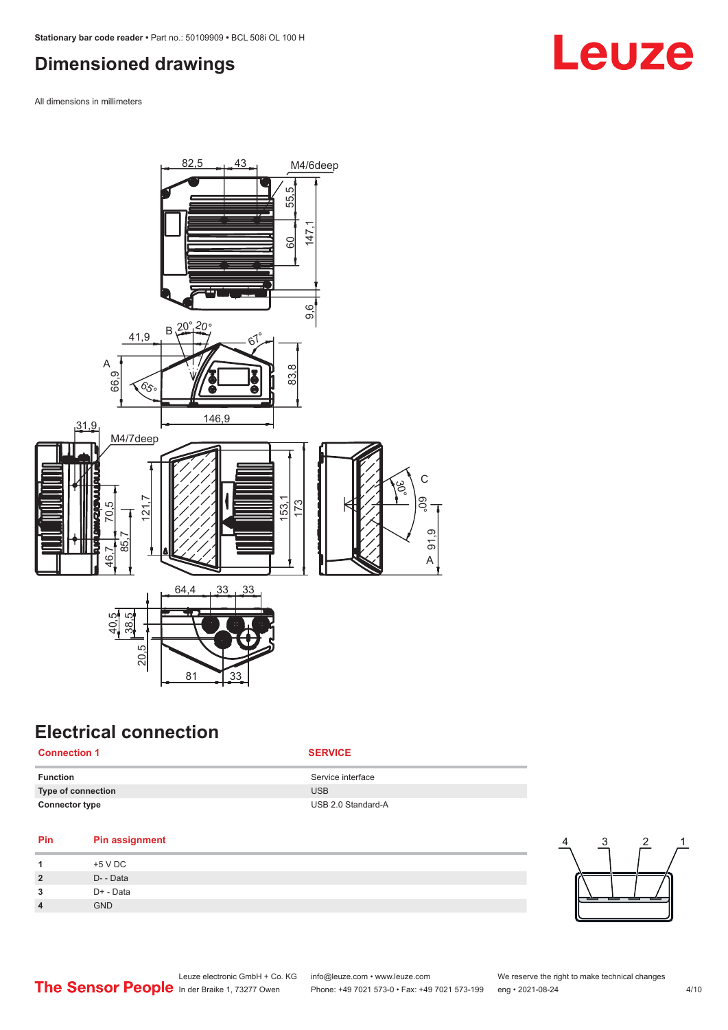# <span id="page-3-0"></span>**Dimensioned drawings**

All dimensions in millimeters



# **Electrical connection**

### **Connection 1 SERVICE**

| Function              | Service interface  |
|-----------------------|--------------------|
| Type of connection    | <b>USB</b>         |
| <b>Connector type</b> | USB 2.0 Standard-A |

### **Pin Pin assignment**

|                | +5 V DC    |
|----------------|------------|
| $\overline{2}$ | D- - Data  |
| 3              | D+ - Data  |
| $\overline{4}$ | <b>GND</b> |



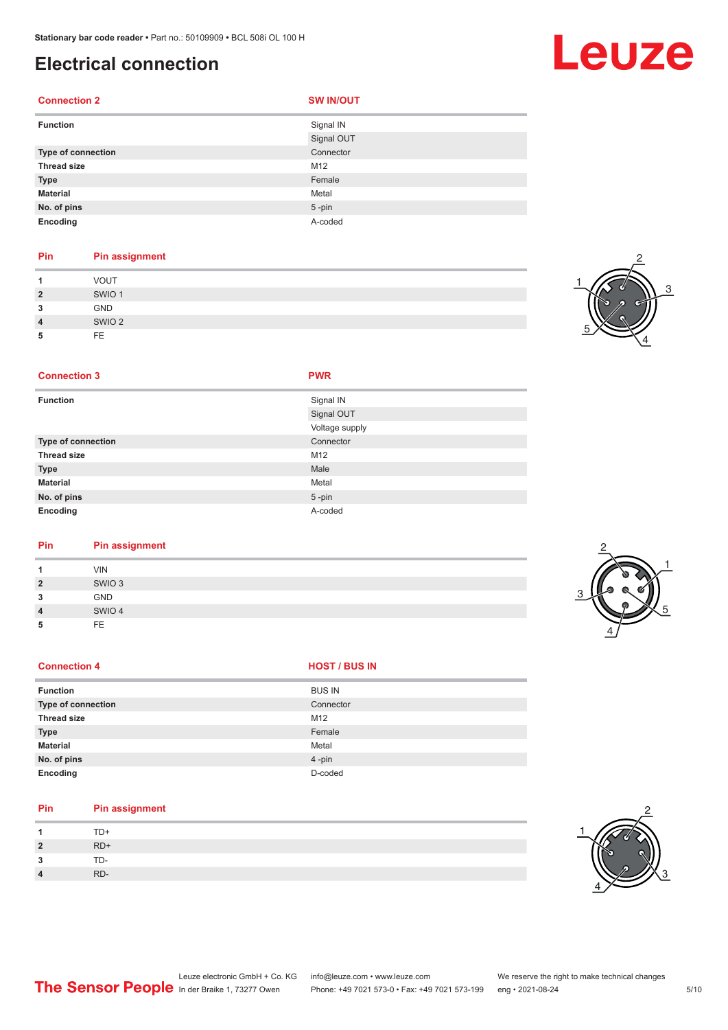# **Electrical connection**

### **Connection 2 SW IN/OUT**

| <b>Function</b>    | Signal IN  |
|--------------------|------------|
|                    | Signal OUT |
| Type of connection | Connector  |
| <b>Thread size</b> | M12        |
| <b>Type</b>        | Female     |
| <b>Material</b>    | Metal      |
| No. of pins        | $5$ -pin   |
| Encoding           | A-coded    |

### **Pin Pin assignment**

|                | <b>VOUT</b>       |
|----------------|-------------------|
| $\overline{2}$ | SWIO <sub>1</sub> |
| 3              | <b>GND</b>        |
| $\overline{4}$ | SWIO <sub>2</sub> |
| 5              | <b>FE</b>         |



### **Connection 3 PWR**

| <b>Function</b>    | Signal IN      |
|--------------------|----------------|
|                    | Signal OUT     |
|                    | Voltage supply |
| Type of connection | Connector      |
| <b>Thread size</b> | M12            |
| <b>Type</b>        | Male           |
| <b>Material</b>    | Metal          |
| No. of pins        | $5$ -pin       |
| Encoding           | A-coded        |

### **Pin Pin assignment**

|                | <b>VIN</b>        |  |  |
|----------------|-------------------|--|--|
| $\overline{2}$ | SWIO <sub>3</sub> |  |  |
| ໍາ<br>- 2      | GND               |  |  |
| 4              | SWIO 4            |  |  |
| 5              | FE                |  |  |
|                |                   |  |  |



### **Connection 4 HOST** / BUS IN

| <b>Function</b>    | <b>BUS IN</b> |
|--------------------|---------------|
| Type of connection | Connector     |
| <b>Thread size</b> | M12           |
| <b>Type</b>        | Female        |
| <b>Material</b>    | Metal         |
| No. of pins        | $4 - pin$     |
| Encoding           | D-coded       |

### **Pin Pin assignment**

| 1              | TD+   |
|----------------|-------|
| $\overline{2}$ | $RD+$ |
| 3              | TD-   |
| $\overline{4}$ | RD-   |



# Leuze

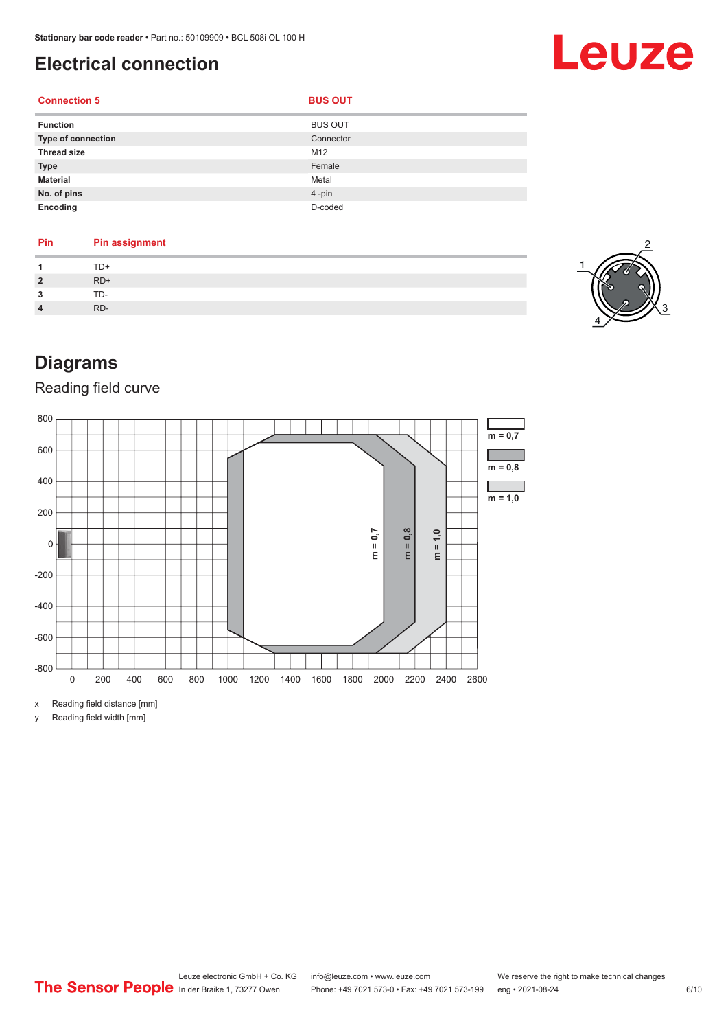# <span id="page-5-0"></span>**Electrical connection**

### **Connection 5 BUS OUT**

|--|--|--|

| <b>Function</b>    | <b>BUS OUT</b> |
|--------------------|----------------|
| Type of connection | Connector      |
| <b>Thread size</b> | M12            |
| <b>Type</b>        | Female         |
| <b>Material</b>    | Metal          |
| No. of pins        | 4-pin          |
| Encoding           | D-coded        |

| <b>Pin</b> | <b>Pin assignment</b> |
|------------|-----------------------|
|            | TD+                   |
| כי         | $RD+$                 |
| 3          | TD-                   |
|            | RD-                   |



Leuze

# **Diagrams**

### Reading field curve



x Reading field distance [mm]

y Reading field width [mm]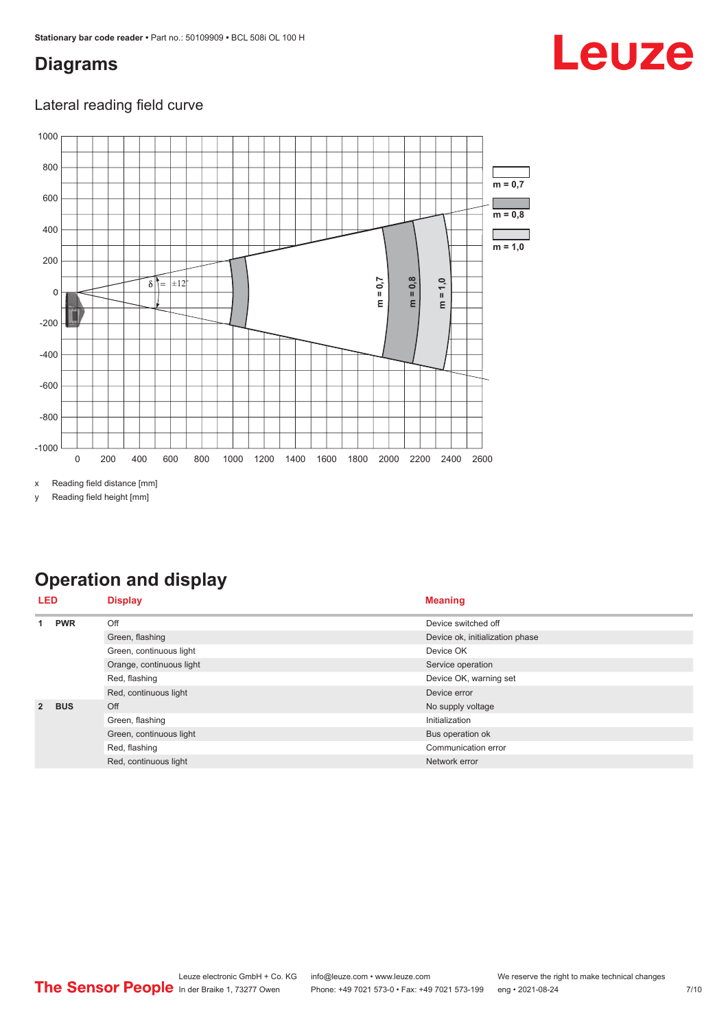# <span id="page-6-0"></span>**Diagrams**

### Lateral reading field curve



x Reading field distance [mm]

y Reading field height [mm]

# **Operation and display**

| <b>LED</b>     |            | <b>Display</b>           | <b>Meaning</b>                  |
|----------------|------------|--------------------------|---------------------------------|
|                | <b>PWR</b> | Off                      | Device switched off             |
|                |            | Green, flashing          | Device ok, initialization phase |
|                |            | Green, continuous light  | Device OK                       |
|                |            | Orange, continuous light | Service operation               |
|                |            | Red, flashing            | Device OK, warning set          |
|                |            | Red, continuous light    | Device error                    |
| $\overline{2}$ | <b>BUS</b> | Off                      | No supply voltage               |
|                |            | Green, flashing          | Initialization                  |
|                |            | Green, continuous light  | Bus operation ok                |
|                |            | Red, flashing            | Communication error             |
|                |            | Red, continuous light    | Network error                   |

# Leuze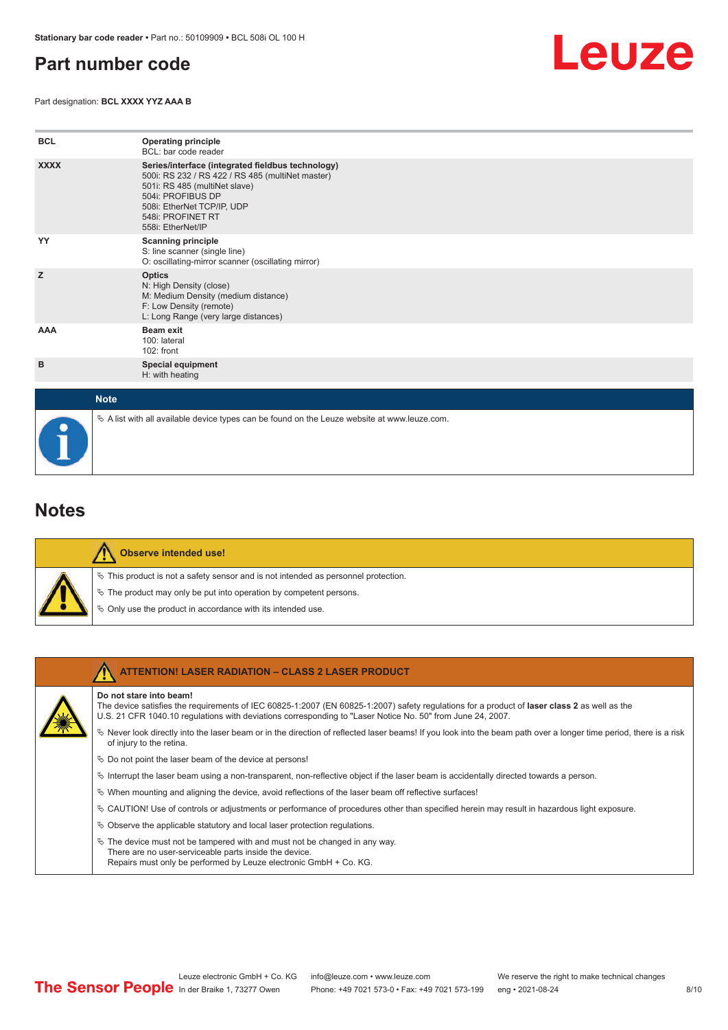# <span id="page-7-0"></span>**Part number code**

Part designation: **BCL XXXX YYZ AAA B**



| <b>BCL</b>  | <b>Operating principle</b><br>BCL: bar code reader                                                                                                                                                                                  |
|-------------|-------------------------------------------------------------------------------------------------------------------------------------------------------------------------------------------------------------------------------------|
| <b>XXXX</b> | Series/interface (integrated fieldbus technology)<br>500i: RS 232 / RS 422 / RS 485 (multiNet master)<br>501i: RS 485 (multiNet slave)<br>504i: PROFIBUS DP<br>508i: EtherNet TCP/IP, UDP<br>548i: PROFINET RT<br>558i: EtherNet/IP |
| YY          | <b>Scanning principle</b><br>S: line scanner (single line)<br>O: oscillating-mirror scanner (oscillating mirror)                                                                                                                    |
| z           | <b>Optics</b><br>N: High Density (close)<br>M: Medium Density (medium distance)<br>F: Low Density (remote)<br>L: Long Range (very large distances)                                                                                  |
| AAA         | <b>Beam exit</b><br>100: lateral<br>102: front                                                                                                                                                                                      |
| в           | <b>Special equipment</b><br>H: with heating                                                                                                                                                                                         |
| <b>Note</b> |                                                                                                                                                                                                                                     |

## **Notes**

|  | Observe intended use!                                                                 |
|--|---------------------------------------------------------------------------------------|
|  | $\%$ This product is not a safety sensor and is not intended as personnel protection. |
|  | § The product may only be put into operation by competent persons.                    |
|  | § Only use the product in accordance with its intended use.                           |

 $\%$  A list with all available device types can be found on the Leuze website at www.leuze.com.

| <b>ATTENTION! LASER RADIATION - CLASS 2 LASER PRODUCT</b>                                                                                                                                                                                                                             |
|---------------------------------------------------------------------------------------------------------------------------------------------------------------------------------------------------------------------------------------------------------------------------------------|
| Do not stare into beam!<br>The device satisfies the requirements of IEC 60825-1:2007 (EN 60825-1:2007) safety requiations for a product of laser class 2 as well as the<br>U.S. 21 CFR 1040.10 regulations with deviations corresponding to "Laser Notice No. 50" from June 24, 2007. |
| $\%$ Never look directly into the laser beam or in the direction of reflected laser beams! If you look into the beam path over a longer time period, there is a risk<br>of injury to the retina.                                                                                      |
| $\%$ Do not point the laser beam of the device at persons!                                                                                                                                                                                                                            |
| Interrupt the laser beam using a non-transparent, non-reflective object if the laser beam is accidentally directed towards a person.                                                                                                                                                  |
| $\%$ When mounting and aligning the device, avoid reflections of the laser beam off reflective surfaces!                                                                                                                                                                              |
| $\&$ CAUTION! Use of controls or adjustments or performance of procedures other than specified herein may result in hazardous light exposure.                                                                                                                                         |
| $\&$ Observe the applicable statutory and local laser protection requisitions.                                                                                                                                                                                                        |
| $\ddot{\varphi}$ The device must not be tampered with and must not be changed in any way.<br>There are no user-serviceable parts inside the device.<br>Repairs must only be performed by Leuze electronic GmbH + Co. KG.                                                              |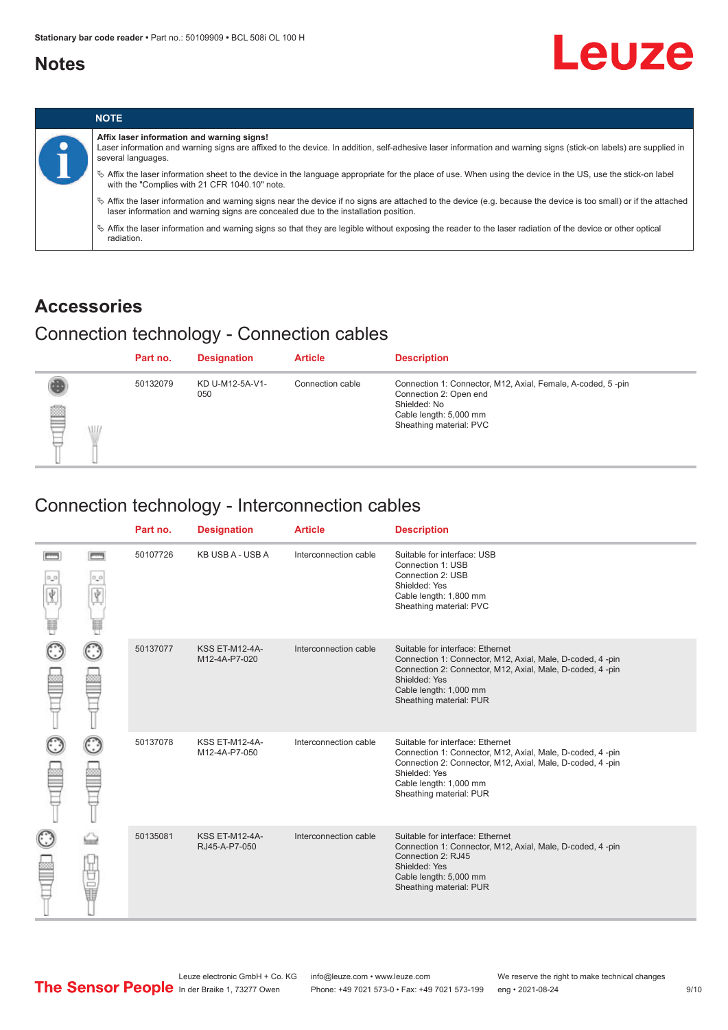# <span id="page-8-0"></span>**Notes**





### **Accessories**

# Connection technology - Connection cables

|        | Part no. | <b>Designation</b>     | <b>Article</b>   | <b>Description</b>                                                                                                                                         |
|--------|----------|------------------------|------------------|------------------------------------------------------------------------------------------------------------------------------------------------------------|
| ₿<br>W | 50132079 | KD U-M12-5A-V1-<br>050 | Connection cable | Connection 1: Connector, M12, Axial, Female, A-coded, 5-pin<br>Connection 2: Open end<br>Shielded: No<br>Cable length: 5,000 mm<br>Sheathing material: PVC |

### Connection technology - Interconnection cables

|                   |    | Part no. | <b>Designation</b>                     | <b>Article</b>        | <b>Description</b>                                                                                                                                                                                                               |
|-------------------|----|----------|----------------------------------------|-----------------------|----------------------------------------------------------------------------------------------------------------------------------------------------------------------------------------------------------------------------------|
| <b>books</b><br>Ý |    | 50107726 | KB USB A - USB A                       | Interconnection cable | Suitable for interface: USB<br>Connection 1: USB<br>Connection 2: USB<br>Shielded: Yes<br>Cable length: 1,800 mm<br>Sheathing material: PVC                                                                                      |
|                   |    | 50137077 | <b>KSS ET-M12-4A-</b><br>M12-4A-P7-020 | Interconnection cable | Suitable for interface: Ethernet<br>Connection 1: Connector, M12, Axial, Male, D-coded, 4-pin<br>Connection 2: Connector, M12, Axial, Male, D-coded, 4-pin<br>Shielded: Yes<br>Cable length: 1,000 mm<br>Sheathing material: PUR |
|                   |    | 50137078 | KSS ET-M12-4A-<br>M12-4A-P7-050        | Interconnection cable | Suitable for interface: Ethernet<br>Connection 1: Connector, M12, Axial, Male, D-coded, 4-pin<br>Connection 2: Connector, M12, Axial, Male, D-coded, 4-pin<br>Shielded: Yes<br>Cable length: 1,000 mm<br>Sheathing material: PUR |
|                   | 甘量 | 50135081 | <b>KSS ET-M12-4A-</b><br>RJ45-A-P7-050 | Interconnection cable | Suitable for interface: Ethernet<br>Connection 1: Connector, M12, Axial, Male, D-coded, 4-pin<br>Connection 2: RJ45<br>Shielded: Yes<br>Cable length: 5,000 mm<br>Sheathing material: PUR                                        |